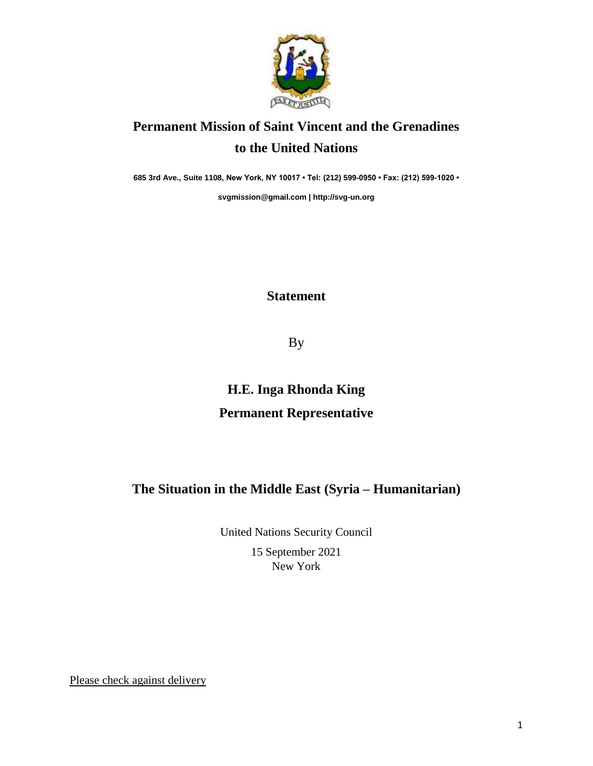

## **Permanent Mission of Saint Vincent and the Grenadines to the United Nations**

**685 3rd Ave., Suite 1108, New York, NY 10017 • Tel: (212) 599-0950 • Fax: (212) 599-1020 •** 

**[svgmission@gmail.com](mailto:svgmission@gmail.com) [| http://svg-un.org](http://svg-un.org/)**

## **Statement**

By

## **H.E. Inga Rhonda King Permanent Representative**

## **The Situation in the Middle East (Syria – Humanitarian)**

United Nations Security Council

15 September 2021 New York

Please check against delivery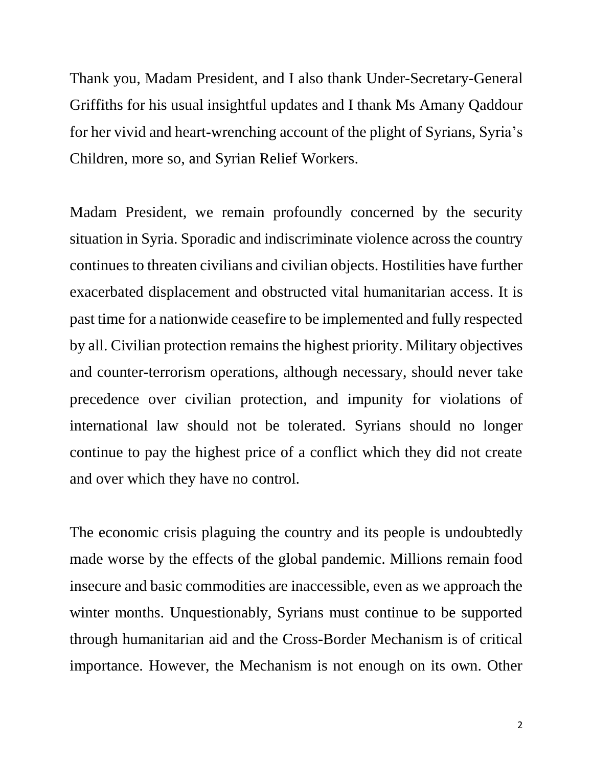Thank you, Madam President, and I also thank Under-Secretary-General Griffiths for his usual insightful updates and I thank Ms Amany Qaddour for her vivid and heart-wrenching account of the plight of Syrians, Syria's Children, more so, and Syrian Relief Workers.

Madam President, we remain profoundly concerned by the security situation in Syria. Sporadic and indiscriminate violence across the country continues to threaten civilians and civilian objects. Hostilities have further exacerbated displacement and obstructed vital humanitarian access. It is past time for a nationwide ceasefire to be implemented and fully respected by all. Civilian protection remains the highest priority. Military objectives and counter-terrorism operations, although necessary, should never take precedence over civilian protection, and impunity for violations of international law should not be tolerated. Syrians should no longer continue to pay the highest price of a conflict which they did not create and over which they have no control.

The economic crisis plaguing the country and its people is undoubtedly made worse by the effects of the global pandemic. Millions remain food insecure and basic commodities are inaccessible, even as we approach the winter months. Unquestionably, Syrians must continue to be supported through humanitarian aid and the Cross-Border Mechanism is of critical importance. However, the Mechanism is not enough on its own. Other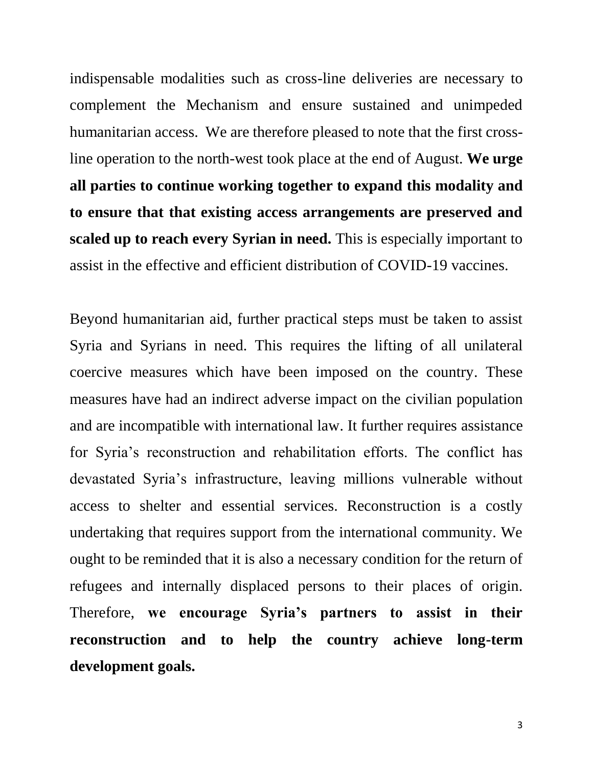indispensable modalities such as cross-line deliveries are necessary to complement the Mechanism and ensure sustained and unimpeded humanitarian access. We are therefore pleased to note that the first crossline operation to the north-west took place at the end of August. **We urge all parties to continue working together to expand this modality and to ensure that that existing access arrangements are preserved and scaled up to reach every Syrian in need.** This is especially important to assist in the effective and efficient distribution of COVID-19 vaccines.

Beyond humanitarian aid, further practical steps must be taken to assist Syria and Syrians in need. This requires the lifting of all unilateral coercive measures which have been imposed on the country. These measures have had an indirect adverse impact on the civilian population and are incompatible with international law. It further requires assistance for Syria's reconstruction and rehabilitation efforts. The conflict has devastated Syria's infrastructure, leaving millions vulnerable without access to shelter and essential services. Reconstruction is a costly undertaking that requires support from the international community. We ought to be reminded that it is also a necessary condition for the return of refugees and internally displaced persons to their places of origin. Therefore, **we encourage Syria's partners to assist in their reconstruction and to help the country achieve long-term development goals.**